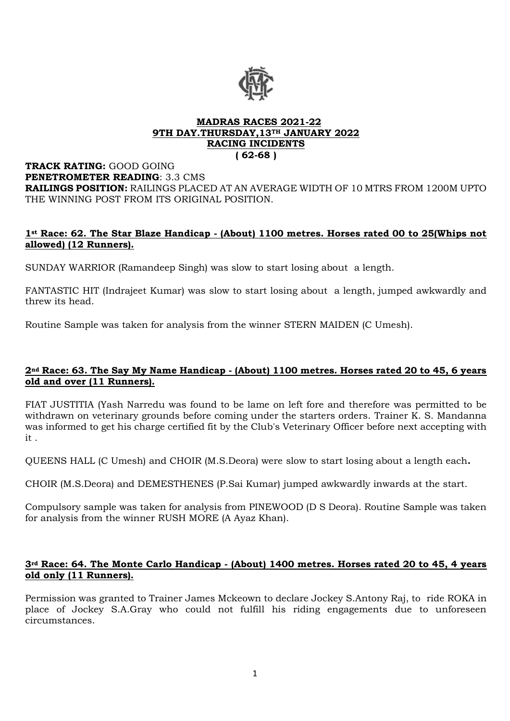

#### **MADRAS RACES 2021-22 9TH DAY.THURSDAY,13TH JANUARY 2022 RACING INCIDENTS ( 62-68 )**

#### **TRACK RATING:** GOOD GOING **PENETROMETER READING**: 3.3 CMS **RAILINGS POSITION:** RAILINGS PLACED AT AN AVERAGE WIDTH OF 10 MTRS FROM 1200M UPTO THE WINNING POST FROM ITS ORIGINAL POSITION.

# **1st Race: 62. The Star Blaze Handicap - (About) 1100 metres. Horses rated 00 to 25(Whips not allowed) (12 Runners).**

SUNDAY WARRIOR (Ramandeep Singh) was slow to start losing about a length.

FANTASTIC HIT (Indrajeet Kumar) was slow to start losing about a length, jumped awkwardly and threw its head.

Routine Sample was taken for analysis from the winner STERN MAIDEN (C Umesh).

# **2nd Race: 63. The Say My Name Handicap - (About) 1100 metres. Horses rated 20 to 45, 6 years old and over (11 Runners).**

FIAT JUSTITIA (Yash Narredu was found to be lame on left fore and therefore was permitted to be withdrawn on veterinary grounds before coming under the starters orders. Trainer K. S. Mandanna was informed to get his charge certified fit by the Club's Veterinary Officer before next accepting with it .

QUEENS HALL (C Umesh) and CHOIR (M.S.Deora) were slow to start losing about a length each**.**

CHOIR (M.S.Deora) and DEMESTHENES (P.Sai Kumar) jumped awkwardly inwards at the start.

Compulsory sample was taken for analysis from PINEWOOD (D S Deora). Routine Sample was taken for analysis from the winner RUSH MORE (A Ayaz Khan).

### **3rd Race: 64. The Monte Carlo Handicap - (About) 1400 metres. Horses rated 20 to 45, 4 years old only (11 Runners).**

Permission was granted to Trainer James Mckeown to declare Jockey S.Antony Raj, to ride ROKA in place of Jockey S.A.Gray who could not fulfill his riding engagements due to unforeseen circumstances.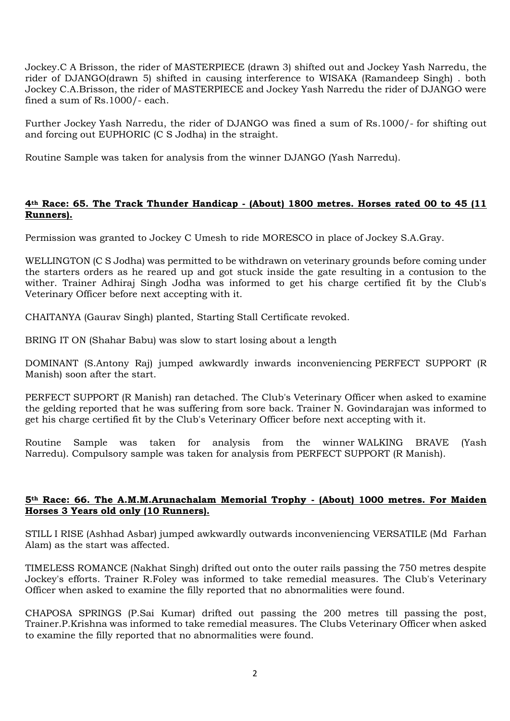Jockey.C A Brisson, the rider of MASTERPIECE (drawn 3) shifted out and Jockey Yash Narredu, the rider of DJANGO(drawn 5) shifted in causing interference to WISAKA (Ramandeep Singh) . both Jockey C.A.Brisson, the rider of MASTERPIECE and Jockey Yash Narredu the rider of DJANGO were fined a sum of Rs.1000/- each.

Further Jockey Yash Narredu, the rider of DJANGO was fined a sum of Rs.1000/- for shifting out and forcing out EUPHORIC (C S Jodha) in the straight.

Routine Sample was taken for analysis from the winner DJANGO (Yash Narredu).

# **4th Race: 65. The Track Thunder Handicap - (About) 1800 metres. Horses rated 00 to 45 (11 Runners).**

Permission was granted to Jockey C Umesh to ride MORESCO in place of Jockey S.A.Gray.

WELLINGTON (C S Jodha) was permitted to be withdrawn on veterinary grounds before coming under the starters orders as he reared up and got stuck inside the gate resulting in a contusion to the wither. Trainer Adhiraj Singh Jodha was informed to get his charge certified fit by the Club's Veterinary Officer before next accepting with it.

CHAITANYA (Gaurav Singh) planted, Starting Stall Certificate revoked.

BRING IT ON (Shahar Babu) was slow to start losing about a length

DOMINANT (S.Antony Raj) jumped awkwardly inwards inconveniencing PERFECT SUPPORT (R Manish) soon after the start.

PERFECT SUPPORT (R Manish) ran detached. The Club's Veterinary Officer when asked to examine the gelding reported that he was suffering from sore back. Trainer N. Govindarajan was informed to get his charge certified fit by the Club's Veterinary Officer before next accepting with it.

Routine Sample was taken for analysis from the winner WALKING BRAVE (Yash Narredu). Compulsory sample was taken for analysis from PERFECT SUPPORT (R Manish).

### **5th Race: 66. The A.M.M.Arunachalam Memorial Trophy - (About) 1000 metres. For Maiden Horses 3 Years old only (10 Runners).**

STILL I RISE (Ashhad Asbar) jumped awkwardly outwards inconveniencing VERSATILE (Md Farhan Alam) as the start was affected.

TIMELESS ROMANCE (Nakhat Singh) drifted out onto the outer rails passing the 750 metres despite Jockey's efforts. Trainer R.Foley was informed to take remedial measures. The Club's Veterinary Officer when asked to examine the filly reported that no abnormalities were found.

CHAPOSA SPRINGS (P.Sai Kumar) drifted out passing the 200 metres till passing the post, Trainer.P.Krishna was informed to take remedial measures. The Clubs Veterinary Officer when asked to examine the filly reported that no abnormalities were found.